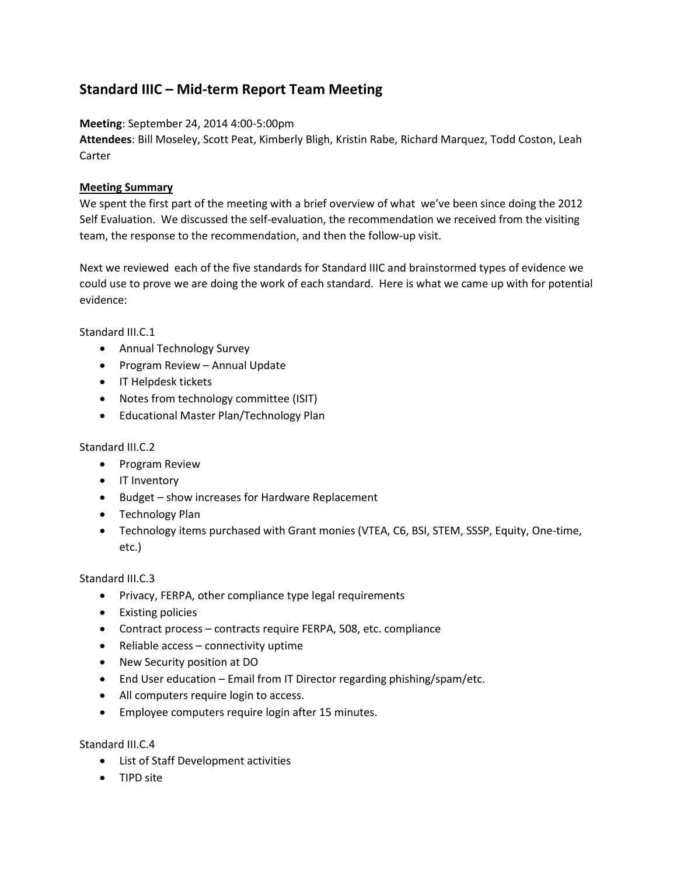# **Standard IIIC – Mid-term Report Team Meeting**

**Meeting**: September 24, 2014 4:00-5:00pm

**Attendees**: Bill Moseley, Scott Peat, Kimberly Bligh, Kristin Rabe, Richard Marquez, Todd Coston, Leah Carter

# **Meeting Summary**

We spent the first part of the meeting with a brief overview of what we've been since doing the 2012 Self Evaluation. We discussed the self-evaluation, the recommendation we received from the visiting team, the response to the recommendation, and then the follow-up visit.

Next we reviewed each of the five standards for Standard IIIC and brainstormed types of evidence we could use to prove we are doing the work of each standard. Here is what we came up with for potential evidence:

Standard III.C.1

- Annual Technology Survey
- Program Review Annual Update
- **IT Helpdesk tickets**
- Notes from technology committee (ISIT)
- Educational Master Plan/Technology Plan

## Standard III.C.2

- Program Review
- IT Inventory
- Budget show increases for Hardware Replacement
- Technology Plan
- Technology items purchased with Grant monies (VTEA, C6, BSI, STEM, SSSP, Equity, One-time, etc.)

## Standard III.C.3

- Privacy, FERPA, other compliance type legal requirements
- Existing policies
- Contract process contracts require FERPA, 508, etc. compliance
- $\bullet$  Reliable access connectivity uptime
- New Security position at DO
- End User education Email from IT Director regarding phishing/spam/etc.
- All computers require login to access.
- Employee computers require login after 15 minutes.

## Standard III.C.4

- List of Staff Development activities
- TIPD site